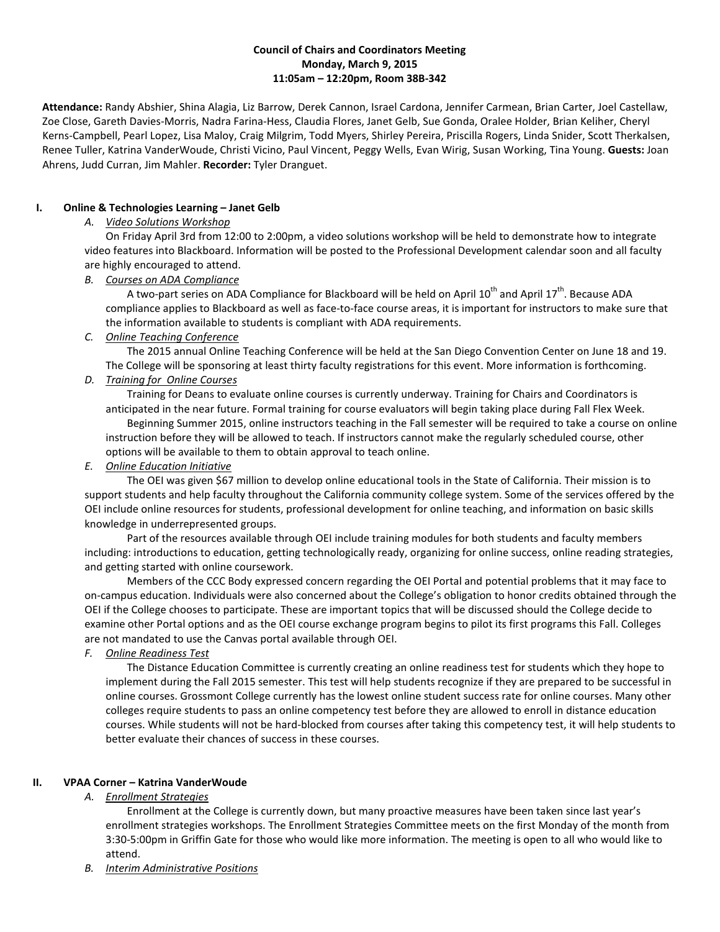### **Council of Chairs and Coordinators Meeting Monday, March 9, 2015 11:05am – 12:20pm, Room 38B-342**

**Attendance:** Randy Abshier, Shina Alagia, Liz Barrow, Derek Cannon, Israel Cardona, Jennifer Carmean, Brian Carter, Joel Castellaw, Zoe Close, Gareth Davies-Morris, Nadra Farina-Hess, Claudia Flores, Janet Gelb, Sue Gonda, Oralee Holder, Brian Keliher, Cheryl Kerns-Campbell, Pearl Lopez, Lisa Maloy, Craig Milgrim, Todd Myers, Shirley Pereira, Priscilla Rogers, Linda Snider, Scott Therkalsen, Renee Tuller, Katrina VanderWoude, Christi Vicino, Paul Vincent, Peggy Wells, Evan Wirig, Susan Working, Tina Young. **Guests:** Joan Ahrens, Judd Curran, Jim Mahler. **Recorder:** Tyler Dranguet.

## **I. Online & Technologies Learning – Janet Gelb**

# *A. Video Solutions Workshop*

On Friday April 3rd from 12:00 to 2:00pm, a video solutions workshop will be held to demonstrate how to integrate video features into Blackboard. Information will be posted to the Professional Development calendar soon and all faculty are highly encouraged to attend.

### *B. Courses on ADA Compliance*

A two-part series on ADA Compliance for Blackboard will be held on April 10<sup>th</sup> and April 17<sup>th</sup>. Because ADA compliance applies to Blackboard as well as face-to-face course areas, it is important for instructors to make sure that the information available to students is compliant with ADA requirements.

### *C. Online Teaching Conference*

The 2015 annual Online Teaching Conference will be held at the San Diego Convention Center on June 18 and 19. The College will be sponsoring at least thirty faculty registrations for this event. More information is forthcoming.

# *D. Training for Online Courses*

Training for Deans to evaluate online courses is currently underway. Training for Chairs and Coordinators is anticipated in the near future. Formal training for course evaluators will begin taking place during Fall Flex Week. Beginning Summer 2015, online instructors teaching in the Fall semester will be required to take a course on online instruction before they will be allowed to teach. If instructors cannot make the regularly scheduled course, other options will be available to them to obtain approval to teach online.

## *E. Online Education Initiative*

The OEI was given \$67 million to develop online educational tools in the State of California. Their mission is to support students and help faculty throughout the California community college system. Some of the services offered by the OEI include online resources for students, professional development for online teaching, and information on basic skills knowledge in underrepresented groups.

Part of the resources available through OEI include training modules for both students and faculty members including: introductions to education, getting technologically ready, organizing for online success, online reading strategies, and getting started with online coursework.

Members of the CCC Body expressed concern regarding the OEI Portal and potential problems that it may face to on-campus education. Individuals were also concerned about the College's obligation to honor credits obtained through the OEI if the College chooses to participate. These are important topics that will be discussed should the College decide to examine other Portal options and as the OEI course exchange program begins to pilot its first programs this Fall. Colleges are not mandated to use the Canvas portal available through OEI.

*F. Online Readiness Test*

The Distance Education Committee is currently creating an online readiness test for students which they hope to implement during the Fall 2015 semester. This test will help students recognize if they are prepared to be successful in online courses. Grossmont College currently has the lowest online student success rate for online courses. Many other colleges require students to pass an online competency test before they are allowed to enroll in distance education courses. While students will not be hard-blocked from courses after taking this competency test, it will help students to better evaluate their chances of success in these courses.

# **II. VPAA Corner – Katrina VanderWoude**

*A. Enrollment Strategies*

Enrollment at the College is currently down, but many proactive measures have been taken since last year's enrollment strategies workshops. The Enrollment Strategies Committee meets on the first Monday of the month from 3:30-5:00pm in Griffin Gate for those who would like more information. The meeting is open to all who would like to attend.

*B. Interim Administrative Positions*